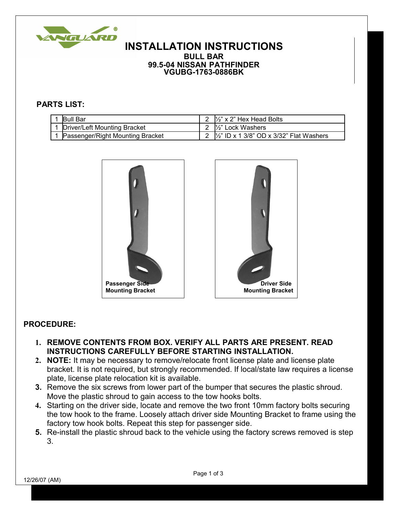

## **INSTALLATION INSTRUCTIONS BULL BAR**

**99.5-04 NISSAN PATHFINDER VGUBG-1763-0886BK**

## **PARTS LIST:**

| <b>IBull Bar</b>                 | 2 $\frac{1}{2}$ x 2" Hex Head Bolts                 |
|----------------------------------|-----------------------------------------------------|
| Driver/Left Mounting Bracket     | 2 <sup>1/2"</sup> Lock Washers                      |
| Passenger/Right Mounting Bracket | 2 $\frac{1}{2}$ ID x 1 3/8" OD x 3/32" Flat Washers |





## **PROCEDURE:**

- **1. REMOVE CONTENTS FROM BOX. VERIFY ALL PARTS ARE PRESENT. READ INSTRUCTIONS CAREFULLY BEFORE STARTING INSTALLATION.**
- **2. NOTE:** It may be necessary to remove/relocate front license plate and license plate bracket. It is not required, but strongly recommended. If local/state law requires a license plate, license plate relocation kit is available.
- **3.** Remove the six screws from lower part of the bumper that secures the plastic shroud. Move the plastic shroud to gain access to the tow hooks bolts.
- **4.** Starting on the driver side, locate and remove the two front 10mm factory bolts securing the tow hook to the frame. Loosely attach driver side Mounting Bracket to frame using the factory tow hook bolts. Repeat this step for passenger side.
- **5.** Re-install the plastic shroud back to the vehicle using the factory screws removed is step 3.